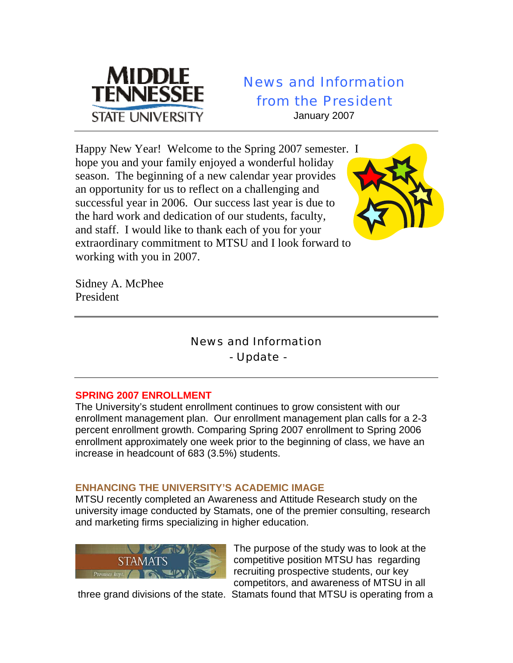

# News and Information from the President

January 2007

Happy New Year! Welcome to the Spring 2007 semester. I hope you and your family enjoyed a wonderful holiday season. The beginning of a new calendar year provides an opportunity for us to reflect on a challenging and successful year in 2006. Our success last year is due to the hard work and dedication of our students, faculty, and staff. I would like to thank each of you for your extraordinary commitment to MTSU and I look forward to working with you in 2007.

Sidney A. McPhee President

## News and Information - Update -

## **SPRING 2007 ENROLLMENT**

The University's student enrollment continues to grow consistent with our enrollment management plan. Our enrollment management plan calls for a 2-3 percent enrollment growth. Comparing Spring 2007 enrollment to Spring 2006 enrollment approximately one week prior to the beginning of class, we have an increase in headcount of 683 (3.5%) students.

## **ENHANCING THE UNIVERSITY'S ACADEMIC IMAGE**

MTSU recently completed an Awareness and Attitude Research study on the university image conducted by Stamats, one of the premier consulting, research and marketing firms specializing in higher education.



The purpose of the study was to look at the competitive position MTSU has regarding recruiting prospective students, our key competitors, and awareness of MTSU in all

three grand divisions of the state. Stamats found that MTSU is operating from a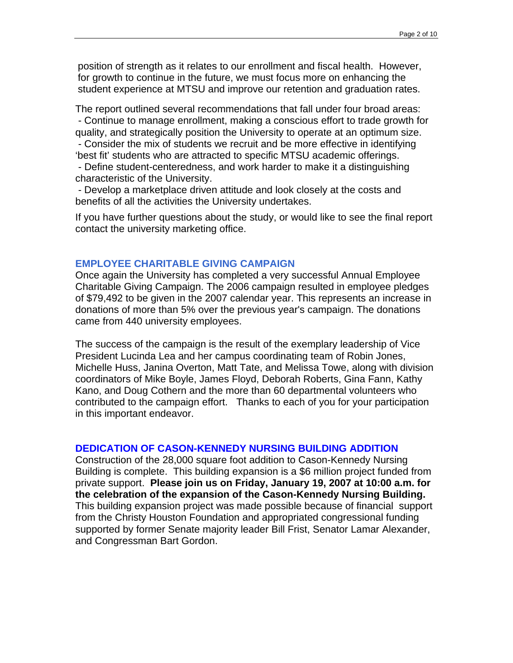position of strength as it relates to our enrollment and fiscal health. However, for growth to continue in the future, we must focus more on enhancing the student experience at MTSU and improve our retention and graduation rates.

The report outlined several recommendations that fall under four broad areas: - Continue to manage enrollment, making a conscious effort to trade growth for quality, and strategically position the University to operate at an optimum size. - Consider the mix of students we recruit and be more effective in identifying 'best fit' students who are attracted to specific MTSU academic offerings.

 - Define student-centeredness, and work harder to make it a distinguishing characteristic of the University.

 - Develop a marketplace driven attitude and look closely at the costs and benefits of all the activities the University undertakes.

If you have further questions about the study, or would like to see the final report contact the university marketing office.

#### **EMPLOYEE CHARITABLE GIVING CAMPAIGN**

Once again the University has completed a very successful Annual Employee Charitable Giving Campaign. The 2006 campaign resulted in employee pledges of \$79,492 to be given in the 2007 calendar year. This represents an increase in donations of more than 5% over the previous year's campaign. The donations came from 440 university employees.

The success of the campaign is the result of the exemplary leadership of Vice President Lucinda Lea and her campus coordinating team of Robin Jones, Michelle Huss, Janina Overton, Matt Tate, and Melissa Towe, along with division coordinators of Mike Boyle, James Floyd, Deborah Roberts, Gina Fann, Kathy Kano, and Doug Cothern and the more than 60 departmental volunteers who contributed to the campaign effort. Thanks to each of you for your participation in this important endeavor.

#### **DEDICATION OF CASON-KENNEDY NURSING BUILDING ADDITION**

Construction of the 28,000 square foot addition to Cason-Kennedy Nursing Building is complete. This building expansion is a \$6 million project funded from private support. **Please join us on Friday, January 19, 2007 at 10:00 a.m. for the celebration of the expansion of the Cason-Kennedy Nursing Building.**  This building expansion project was made possible because of financial support from the Christy Houston Foundation and appropriated congressional funding supported by former Senate majority leader Bill Frist, Senator Lamar Alexander, and Congressman Bart Gordon.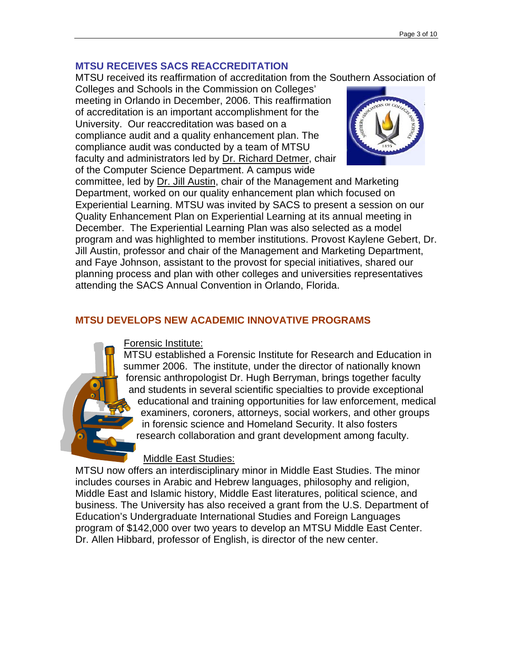#### **MTSU RECEIVES SACS REACCREDITATION**

MTSU received its reaffirmation of accreditation from the Southern Association of

Colleges and Schools in the Commission on Colleges' meeting in Orlando in December, 2006. This reaffirmation of accreditation is an important accomplishment for the University. Our reaccreditation was based on a compliance audit and a quality enhancement plan. The compliance audit was conducted by a team of MTSU faculty and administrators led by Dr. Richard Detmer, chair of the Computer Science Department. A campus wide



committee, led by Dr. Jill Austin, chair of the Management and Marketing Department, worked on our quality enhancement plan which focused on Experiential Learning. MTSU was invited by SACS to present a session on our Quality Enhancement Plan on Experiential Learning at its annual meeting in December. The Experiential Learning Plan was also selected as a model program and was highlighted to member institutions. Provost Kaylene Gebert, Dr. Jill Austin, professor and chair of the Management and Marketing Department, and Faye Johnson, assistant to the provost for special initiatives, shared our planning process and plan with other colleges and universities representatives attending the SACS Annual Convention in Orlando, Florida.

#### **MTSU DEVELOPS NEW ACADEMIC INNOVATIVE PROGRAMS**



MTSU established a Forensic Institute for Research and Education in summer 2006. The institute, under the director of nationally known forensic anthropologist Dr. Hugh Berryman, brings together faculty and students in several scientific specialties to provide exceptional educational and training opportunities for law enforcement, medical examiners, coroners, attorneys, social workers, and other groups in forensic science and Homeland Security. It also fosters research collaboration and grant development among faculty.

#### Middle East Studies:

MTSU now offers an interdisciplinary minor in Middle East Studies. The minor includes courses in Arabic and Hebrew languages, philosophy and religion, Middle East and Islamic history, Middle East literatures, political science, and business. The University has also received a grant from the U.S. Department of Education's Undergraduate International Studies and Foreign Languages program of \$142,000 over two years to develop an MTSU Middle East Center. Dr. Allen Hibbard, professor of English, is director of the new center.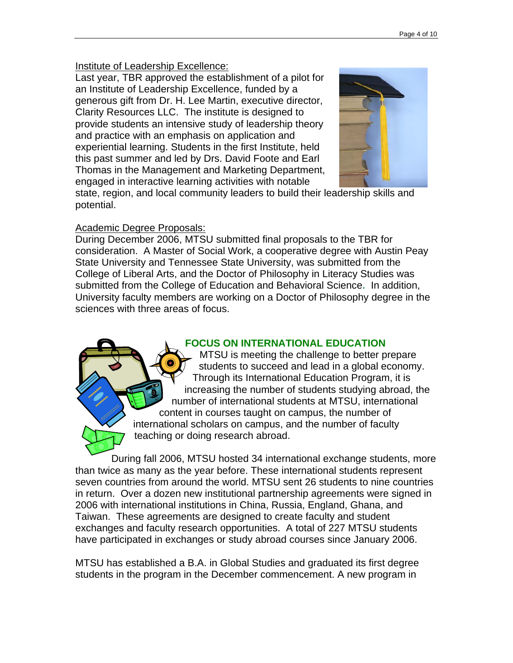#### Institute of Leadership Excellence:

Last year, TBR approved the establishment of a pilot for an Institute of Leadership Excellence, funded by a generous gift from Dr. H. Lee Martin, executive director, Clarity Resources LLC. The institute is designed to provide students an intensive study of leadership theory and practice with an emphasis on application and experiential learning. Students in the first Institute, held this past summer and led by Drs. David Foote and Earl Thomas in the Management and Marketing Department, engaged in interactive learning activities with notable



state, region, and local community leaders to build their leadership skills and potential.

## Academic Degree Proposals:

During December 2006, MTSU submitted final proposals to the TBR for consideration. A Master of Social Work, a cooperative degree with Austin Peay State University and Tennessee State University, was submitted from the College of Liberal Arts, and the Doctor of Philosophy in Literacy Studies was submitted from the College of Education and Behavioral Science**.** In addition, University faculty members are working on a Doctor of Philosophy degree in the sciences with three areas of focus.

## **FOCUS ON INTERNATIONAL EDUCATION**

MTSU is meeting the challenge to better prepare students to succeed and lead in a global economy. Through its International Education Program, it is increasing the number of students studying abroad, the number of international students at MTSU, international content in courses taught on campus, the number of international scholars on campus, and the number of faculty teaching or doing research abroad.

During fall 2006, MTSU hosted 34 international exchange students, more than twice as many as the year before. These international students represent seven countries from around the world. MTSU sent 26 students to nine countries in return. Over a dozen new institutional partnership agreements were signed in 2006 with international institutions in China, Russia, England, Ghana, and Taiwan. These agreements are designed to create faculty and student exchanges and faculty research opportunities. A total of 227 MTSU students have participated in exchanges or study abroad courses since January 2006.

MTSU has established a B.A. in Global Studies and graduated its first degree students in the program in the December commencement. A new program in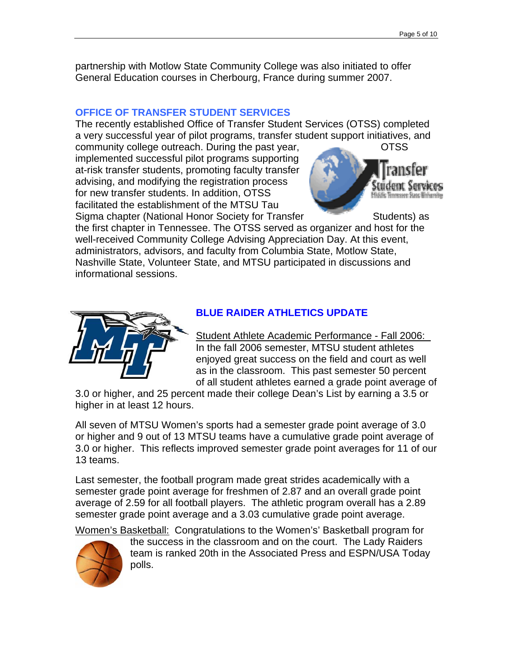partnership with Motlow State Community College was also initiated to offer General Education courses in Cherbourg, France during summer 2007.

#### **OFFICE OF TRANSFER STUDENT SERVICES**

The recently established Office of Transfer Student Services (OTSS) completed a very successful year of pilot programs, transfer student support initiatives, and

community college outreach. During the past year, CTSS implemented successful pilot programs supporting at-risk transfer students, promoting faculty transfer advising, and modifying the registration process for new transfer students. In addition, OTSS facilitated the establishment of the MTSU Tau Sigma chapter (National Honor Society for Transfer Students) as



the first chapter in Tennessee. The OTSS served as organizer and host for the well-received Community College Advising Appreciation Day. At this event, administrators, advisors, and faculty from Columbia State, Motlow State, Nashville State, Volunteer State, and MTSU participated in discussions and informational sessions.



## **BLUE RAIDER ATHLETICS UPDATE**

Student Athlete Academic Performance - Fall 2006: In the fall 2006 semester, MTSU student athletes enjoyed great success on the field and court as well as in the classroom. This past semester 50 percent of all student athletes earned a grade point average of

3.0 or higher, and 25 percent made their college Dean's List by earning a 3.5 or higher in at least 12 hours.

All seven of MTSU Women's sports had a semester grade point average of 3.0 or higher and 9 out of 13 MTSU teams have a cumulative grade point average of 3.0 or higher. This reflects improved semester grade point averages for 11 of our 13 teams.

Last semester, the football program made great strides academically with a semester grade point average for freshmen of 2.87 and an overall grade point average of 2.59 for all football players. The athletic program overall has a 2.89 semester grade point average and a 3.03 cumulative grade point average.

Women's Basketball: Congratulations to the Women's' Basketball program for



the success in the classroom and on the court. The Lady Raiders team is ranked 20th in the Associated Press and ESPN/USA Today polls.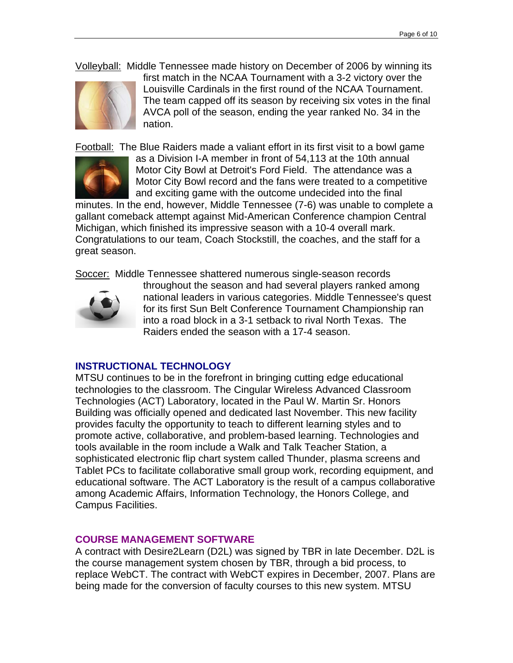Volleyball: Middle Tennessee made history on December of 2006 by winning its



first match in the NCAA Tournament with a 3-2 victory over the Louisville Cardinals in the first round of the NCAA Tournament. The team capped off its season by receiving six votes in the final AVCA poll of the season, ending the year ranked No. 34 in the nation.

Football: The Blue Raiders made a valiant effort in its first visit to a bowl game



as a Division I-A member in front of 54,113 at the 10th annual Motor City Bowl at Detroit's Ford Field. The attendance was a Motor City Bowl record and the fans were treated to a competitive and exciting game with the outcome undecided into the final

minutes. In the end, however, Middle Tennessee (7-6) was unable to complete a gallant comeback attempt against Mid-American Conference champion Central Michigan, which finished its impressive season with a 10-4 overall mark. Congratulations to our team, Coach Stockstill, the coaches, and the staff for a great season.

Soccer: Middle Tennessee shattered numerous single-season records



throughout the season and had several players ranked among national leaders in various categories. Middle Tennessee's quest for its first Sun Belt Conference Tournament Championship ran into a road block in a 3-1 setback to rival North Texas. The Raiders ended the season with a 17-4 season.

#### **INSTRUCTIONAL TECHNOLOGY**

MTSU continues to be in the forefront in bringing cutting edge educational technologies to the classroom. The Cingular Wireless Advanced Classroom Technologies (ACT) Laboratory, located in the Paul W. Martin Sr. Honors Building was officially opened and dedicated last November. This new facility provides faculty the opportunity to teach to different learning styles and to promote active, collaborative, and problem-based learning. Technologies and tools available in the room include a Walk and Talk Teacher Station, a sophisticated electronic flip chart system called Thunder, plasma screens and Tablet PCs to facilitate collaborative small group work, recording equipment, and educational software. The ACT Laboratory is the result of a campus collaborative among Academic Affairs, Information Technology, the Honors College, and Campus Facilities.

#### **COURSE MANAGEMENT SOFTWARE**

A contract with Desire2Learn (D2L) was signed by TBR in late December. D2L is the course management system chosen by TBR, through a bid process, to replace WebCT. The contract with WebCT expires in December, 2007. Plans are being made for the conversion of faculty courses to this new system. MTSU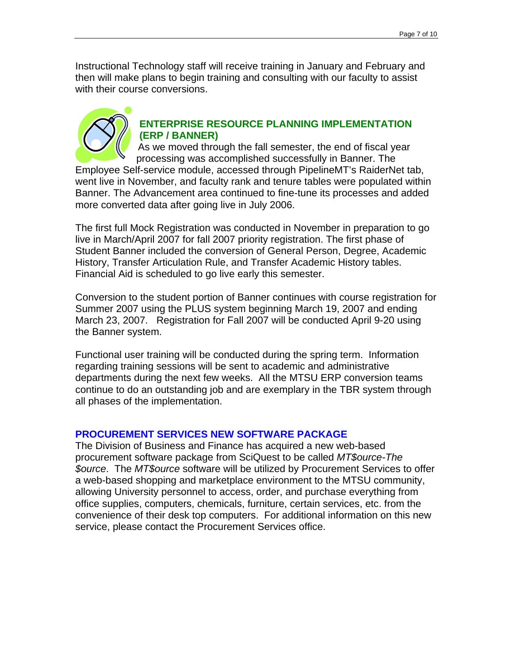Instructional Technology staff will receive training in January and February and then will make plans to begin training and consulting with our faculty to assist with their course conversions.



### **ENTERPRISE RESOURCE PLANNING IMPLEMENTATION (ERP / BANNER)**

As we moved through the fall semester, the end of fiscal year processing was accomplished successfully in Banner. The

Employee Self-service module, accessed through PipelineMT's RaiderNet tab, went live in November, and faculty rank and tenure tables were populated within Banner. The Advancement area continued to fine-tune its processes and added more converted data after going live in July 2006.

The first full Mock Registration was conducted in November in preparation to go live in March/April 2007 for fall 2007 priority registration. The first phase of Student Banner included the conversion of General Person, Degree, Academic History, Transfer Articulation Rule, and Transfer Academic History tables. Financial Aid is scheduled to go live early this semester.

Conversion to the student portion of Banner continues with course registration for Summer 2007 using the PLUS system beginning March 19, 2007 and ending March 23, 2007. Registration for Fall 2007 will be conducted April 9-20 using the Banner system.

Functional user training will be conducted during the spring term. Information regarding training sessions will be sent to academic and administrative departments during the next few weeks. All the MTSU ERP conversion teams continue to do an outstanding job and are exemplary in the TBR system through all phases of the implementation.

#### **PROCUREMENT SERVICES NEW SOFTWARE PACKAGE**

The Division of Business and Finance has acquired a new web-based procurement software package from SciQuest to be called *MT\$ource-The \$ource*. The *MT\$ource* software will be utilized by Procurement Services to offer a web-based shopping and marketplace environment to the MTSU community, allowing University personnel to access, order, and purchase everything from office supplies, computers, chemicals, furniture, certain services, etc. from the convenience of their desk top computers. For additional information on this new service, please contact the Procurement Services office.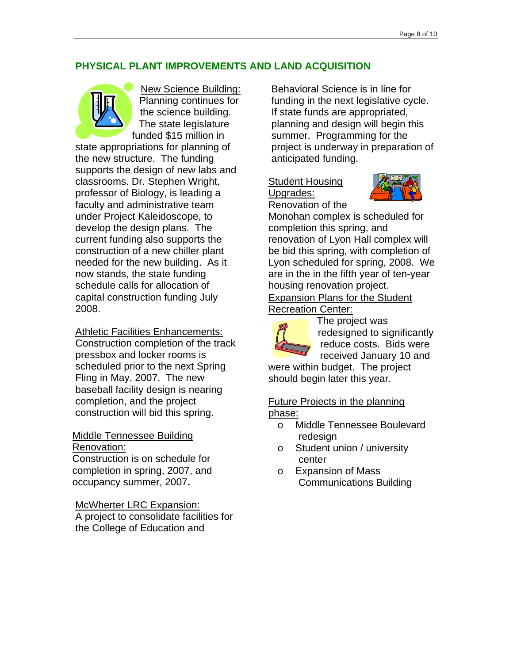#### **PHYSICAL PLANT IMPROVEMENTS AND LAND ACQUISITION**



New Science Building: Planning continues for the science building. The state legislature funded \$15 million in

state appropriations for planning of the new structure. The funding supports the design of new labs and classrooms. Dr. Stephen Wright, professor of Biology, is leading a faculty and administrative team under Project Kaleidoscope, to develop the design plans. The current funding also supports the construction of a new chiller plant needed for the new building. As it now stands, the state funding schedule calls for allocation of capital construction funding July 2008.

Athletic Facilities Enhancements: Construction completion of the track pressbox and locker rooms is scheduled prior to the next Spring Fling in May, 2007. The new baseball facility design is nearing completion, and the project construction will bid this spring.

#### Middle Tennessee Building Renovation:

Construction is on schedule for completion in spring, 2007, and occupancy summer, 2007**.** 

McWherter LRC Expansion:

A project to consolidate facilities for the College of Education and

Behavioral Science is in line for funding in the next legislative cycle. If state funds are appropriated, planning and design will begin this summer. Programming for the project is underway in preparation of anticipated funding.

## Student Housing Upgrades:



Renovation of the Monohan complex is scheduled for completion this spring, and renovation of Lyon Hall complex will be bid this spring, with completion of Lyon scheduled for spring, 2008.We are in the in the fifth year of ten-year housing renovation project.

Expansion Plans for the Student Recreation Center:



The project was redesigned to significantly reduce costs. Bids were received January 10 and

were within budget. The project should begin later this year.

Future Projects in the planning phase:

- o Middle Tennessee Boulevard redesign
- o Student union / university center
- o Expansion of Mass Communications Building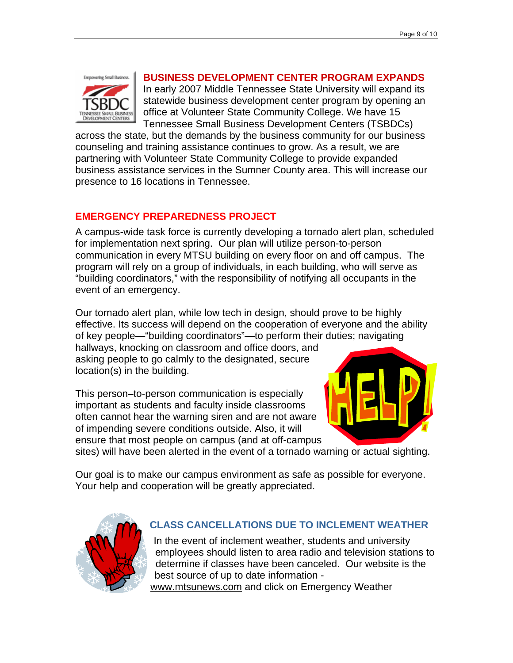

#### **BUSINESS DEVELOPMENT CENTER PROGRAM EXPANDS**

In early 2007 Middle Tennessee State University will expand its statewide business development center program by opening an office at Volunteer State Community College. We have 15 Tennessee Small Business Development Centers (TSBDCs)

across the state, but the demands by the business community for our business counseling and training assistance continues to grow. As a result, we are partnering with Volunteer State Community College to provide expanded business assistance services in the Sumner County area. This will increase our presence to 16 locations in Tennessee.

## **EMERGENCY PREPAREDNESS PROJECT**

A campus-wide task force is currently developing a tornado alert plan, scheduled for implementation next spring. Our plan will utilize person-to-person communication in every MTSU building on every floor on and off campus. The program will rely on a group of individuals, in each building, who will serve as "building coordinators," with the responsibility of notifying all occupants in the event of an emergency.

Our tornado alert plan, while low tech in design, should prove to be highly effective. Its success will depend on the cooperation of everyone and the ability of key people—"building coordinators"—to perform their duties; navigating

hallways, knocking on classroom and office doors, and asking people to go calmly to the designated, secure location(s) in the building.

This person–to-person communication is especially important as students and faculty inside classrooms often cannot hear the warning siren and are not aware of impending severe conditions outside. Also, it will ensure that most people on campus (and at off-campus



sites) will have been alerted in the event of a tornado warning or actual sighting.

Our goal is to make our campus environment as safe as possible for everyone. Your help and cooperation will be greatly appreciated.



## **CLASS CANCELLATIONS DUE TO INCLEMENT WEATHER**

In the event of inclement weather, students and university employees should listen to area radio and television stations to determine if classes have been canceled. Our website is the best source of up to date information [www.mtsunews.com](http://www.mtsunews.com/) and click on Emergency Weather